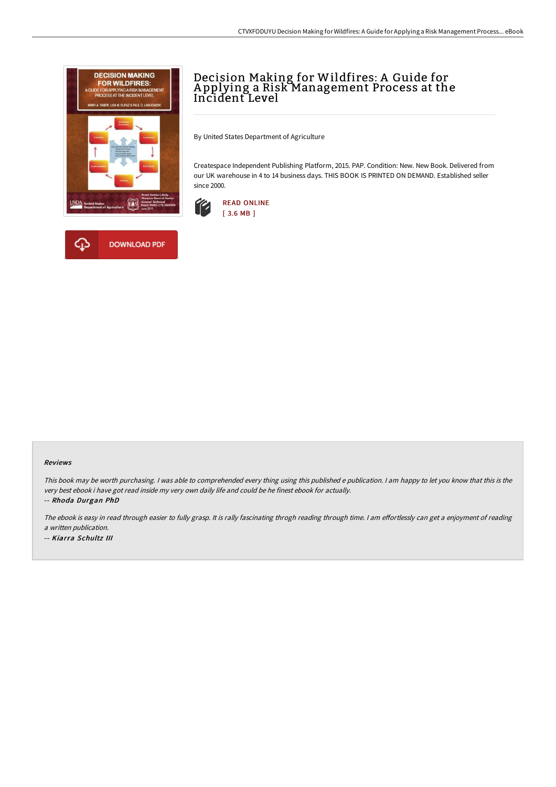



# Decision Making for Wildfires: A Guide for A pplying a Risk Management Process at the Incident Level

By United States Department of Agriculture

Createspace Independent Publishing Platform, 2015. PAP. Condition: New. New Book. Delivered from our UK warehouse in 4 to 14 business days. THIS BOOK IS PRINTED ON DEMAND. Established seller since 2000.



#### Reviews

This book may be worth purchasing. I was able to comprehended every thing using this published <sup>e</sup> publication. I am happy to let you know that this is the very best ebook i have got read inside my very own daily life and could be he finest ebook for actually.

-- Rhoda Durgan PhD

The ebook is easy in read through easier to fully grasp. It is rally fascinating throgh reading through time. I am effortlessly can get a enjoyment of reading <sup>a</sup> written publication.

-- Kiarra Schultz III